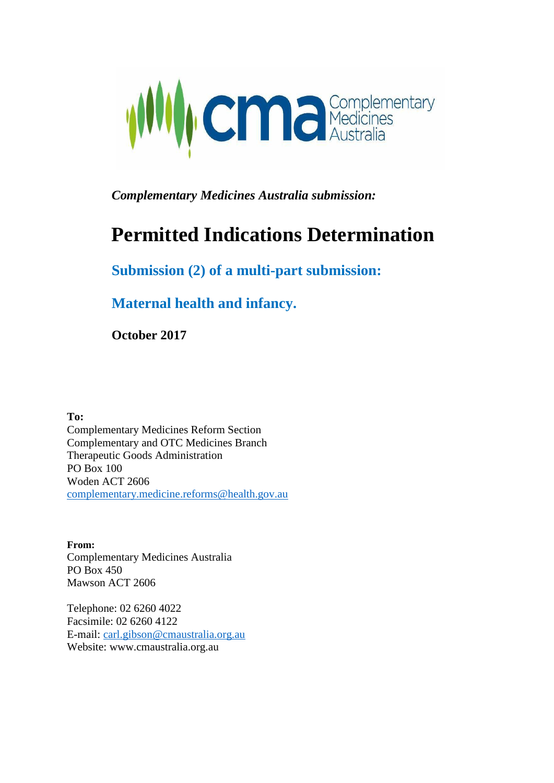

*Complementary Medicines Australia submission:*

# **Permitted Indications Determination**

### **Submission (2) of a multi-part submission:**

**Maternal health and infancy.**

**October 2017**

**To:**

Complementary Medicines Reform Section Complementary and OTC Medicines Branch Therapeutic Goods Administration PO Box 100 Woden ACT 2606 [complementary.medicine.reforms@health.gov.au](mailto:complementary.medicine.reforms@health.gov.au)

**From:** Complementary Medicines Australia PO Box 450 Mawson ACT 2606

Telephone: 02 6260 4022 Facsimile: 02 6260 4122 E-mail: [carl.gibson@cmaustralia.org.au](mailto:carl.gibson@cmaustralia.org.au)  Website: [www.cmaustralia.org.au](http://www.cmaustralia.org.au/)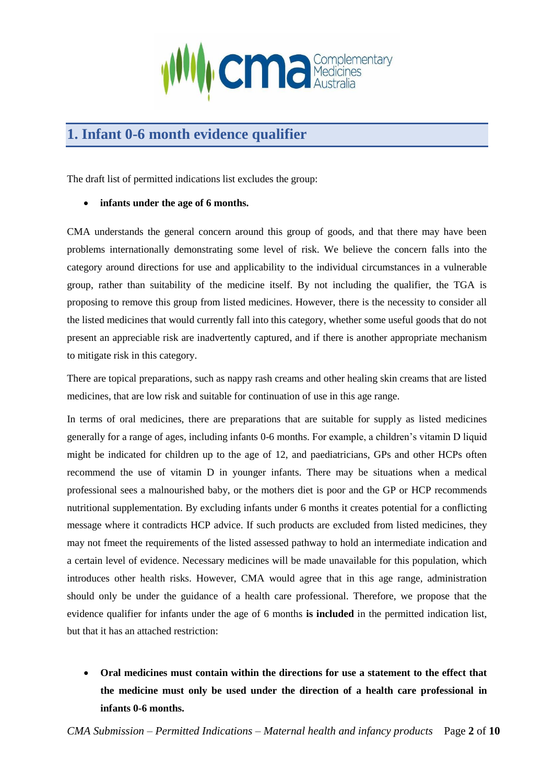

# **1. Infant 0-6 month evidence qualifier**

The draft list of permitted indications list excludes the group:

• **infants under the age of 6 months.**

CMA understands the general concern around this group of goods, and that there may have been problems internationally demonstrating some level of risk. We believe the concern falls into the category around directions for use and applicability to the individual circumstances in a vulnerable group, rather than suitability of the medicine itself. By not including the qualifier, the TGA is proposing to remove this group from listed medicines. However, there is the necessity to consider all the listed medicines that would currently fall into this category, whether some useful goods that do not present an appreciable risk are inadvertently captured, and if there is another appropriate mechanism to mitigate risk in this category.

There are topical preparations, such as nappy rash creams and other healing skin creams that are listed medicines, that are low risk and suitable for continuation of use in this age range.

In terms of oral medicines, there are preparations that are suitable for supply as listed medicines generally for a range of ages, including infants 0-6 months. For example, a children's vitamin D liquid might be indicated for children up to the age of 12, and paediatricians, GPs and other HCPs often recommend the use of vitamin D in younger infants. There may be situations when a medical professional sees a malnourished baby, or the mothers diet is poor and the GP or HCP recommends nutritional supplementation. By excluding infants under 6 months it creates potential for a conflicting message where it contradicts HCP advice. If such products are excluded from listed medicines, they may not fmeet the requirements of the listed assessed pathway to hold an intermediate indication and a certain level of evidence. Necessary medicines will be made unavailable for this population, which introduces other health risks. However, CMA would agree that in this age range, administration should only be under the guidance of a health care professional. Therefore, we propose that the evidence qualifier for infants under the age of 6 months **is included** in the permitted indication list, but that it has an attached restriction:

• **Oral medicines must contain within the directions for use a statement to the effect that the medicine must only be used under the direction of a health care professional in infants 0-6 months.**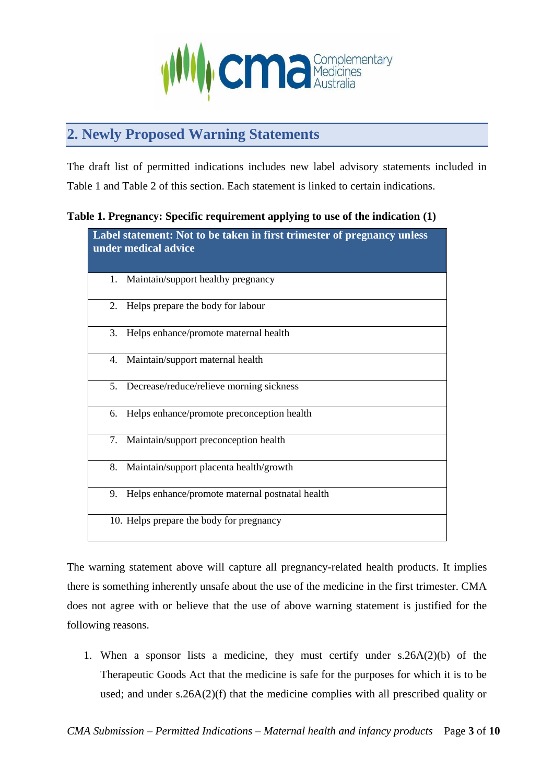

# **2. Newly Proposed Warning Statements**

The draft list of permitted indications includes new label advisory statements included in Table 1 and Table 2 of this section. Each statement is linked to certain indications.

#### **Table 1. Pregnancy: Specific requirement applying to use of the indication (1)**

| Label statement: Not to be taken in first trimester of pregnancy unless<br>under medical advice |                                                 |
|-------------------------------------------------------------------------------------------------|-------------------------------------------------|
| 1.                                                                                              | Maintain/support healthy pregnancy              |
| 2.                                                                                              | Helps prepare the body for labour               |
| 3.                                                                                              | Helps enhance/promote maternal health           |
|                                                                                                 | 4. Maintain/support maternal health             |
|                                                                                                 | 5. Decrease/reduce/relieve morning sickness     |
| 6.                                                                                              | Helps enhance/promote preconception health      |
| 7.                                                                                              | Maintain/support preconception health           |
| 8.                                                                                              | Maintain/support placenta health/growth         |
| 9.                                                                                              | Helps enhance/promote maternal postnatal health |
|                                                                                                 | 10. Helps prepare the body for pregnancy        |

The warning statement above will capture all pregnancy-related health products. It implies there is something inherently unsafe about the use of the medicine in the first trimester. CMA does not agree with or believe that the use of above warning statement is justified for the following reasons.

1. When a sponsor lists a medicine, they must certify under s.26A(2)(b) of the Therapeutic Goods Act that the medicine is safe for the purposes for which it is to be used; and under s.26A(2)(f) that the medicine complies with all prescribed quality or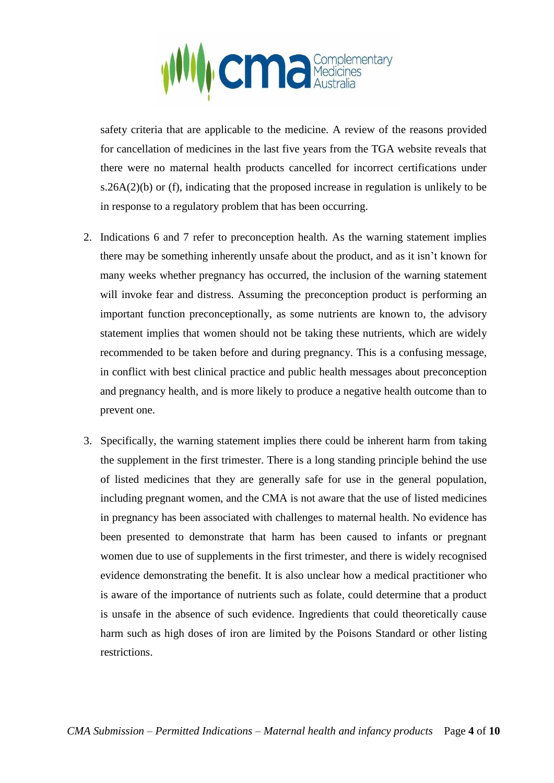

safety criteria that are applicable to the medicine. A review of the reasons provided for cancellation of medicines in the last five years from the TGA website reveals that there were no maternal health products cancelled for incorrect certifications under s.26A(2)(b) or (f), indicating that the proposed increase in regulation is unlikely to be in response to a regulatory problem that has been occurring.

- 2. Indications 6 and 7 refer to preconception health. As the warning statement implies there may be something inherently unsafe about the product, and as it isn't known for many weeks whether pregnancy has occurred, the inclusion of the warning statement will invoke fear and distress. Assuming the preconception product is performing an important function preconceptionally, as some nutrients are known to, the advisory statement implies that women should not be taking these nutrients, which are widely recommended to be taken before and during pregnancy. This is a confusing message, in conflict with best clinical practice and public health messages about preconception and pregnancy health, and is more likely to produce a negative health outcome than to prevent one.
- 3. Specifically, the warning statement implies there could be inherent harm from taking the supplement in the first trimester. There is a long standing principle behind the use of listed medicines that they are generally safe for use in the general population, including pregnant women, and the CMA is not aware that the use of listed medicines in pregnancy has been associated with challenges to maternal health. No evidence has been presented to demonstrate that harm has been caused to infants or pregnant women due to use of supplements in the first trimester, and there is widely recognised evidence demonstrating the benefit. It is also unclear how a medical practitioner who is aware of the importance of nutrients such as folate, could determine that a product is unsafe in the absence of such evidence. Ingredients that could theoretically cause harm such as high doses of iron are limited by the Poisons Standard or other listing restrictions.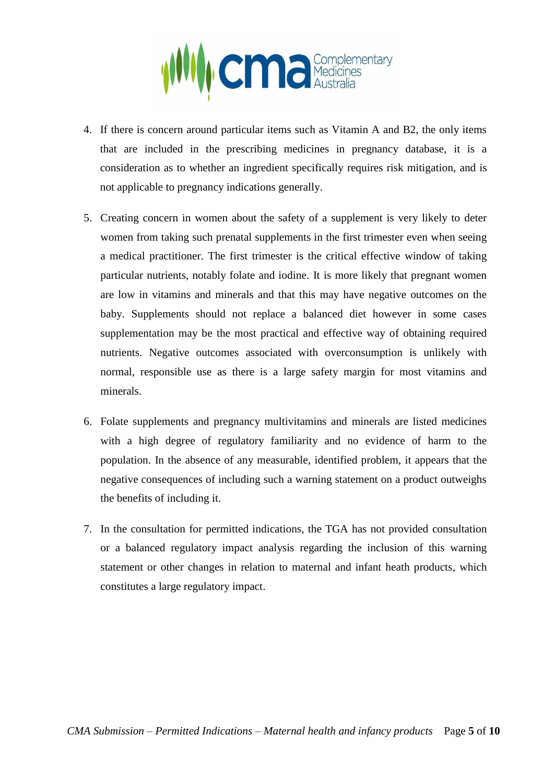

- 4. If there is concern around particular items such as Vitamin A and B2, the only items that are included in the prescribing medicines in pregnancy database, it is a consideration as to whether an ingredient specifically requires risk mitigation, and is not applicable to pregnancy indications generally.
- 5. Creating concern in women about the safety of a supplement is very likely to deter women from taking such prenatal supplements in the first trimester even when seeing a medical practitioner. The first trimester is the critical effective window of taking particular nutrients, notably folate and iodine. It is more likely that pregnant women are low in vitamins and minerals and that this may have negative outcomes on the baby. Supplements should not replace a balanced diet however in some cases supplementation may be the most practical and effective way of obtaining required nutrients. Negative outcomes associated with overconsumption is unlikely with normal, responsible use as there is a large safety margin for most vitamins and minerals.
- 6. Folate supplements and pregnancy multivitamins and minerals are listed medicines with a high degree of regulatory familiarity and no evidence of harm to the population. In the absence of any measurable, identified problem, it appears that the negative consequences of including such a warning statement on a product outweighs the benefits of including it.
- 7. In the consultation for permitted indications, the TGA has not provided consultation or a balanced regulatory impact analysis regarding the inclusion of this warning statement or other changes in relation to maternal and infant heath products, which constitutes a large regulatory impact.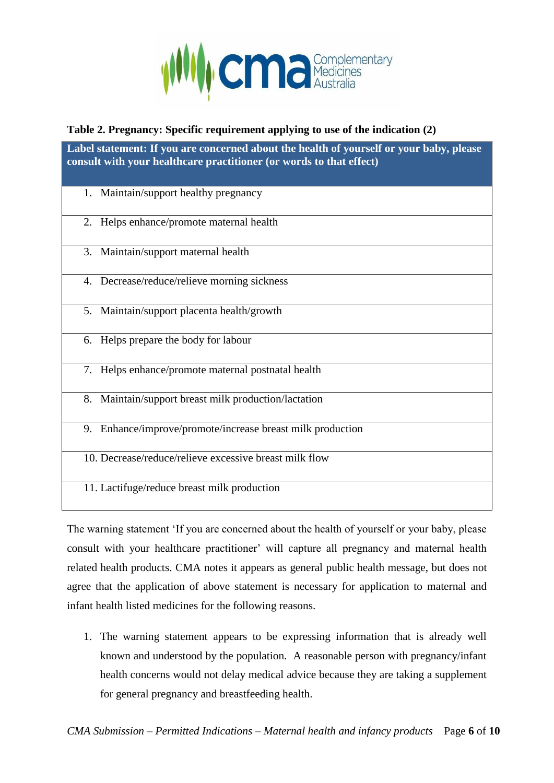

#### **Table 2. Pregnancy: Specific requirement applying to use of the indication (2)**

**Label statement: If you are concerned about the health of yourself or your baby, please consult with your healthcare practitioner (or words to that effect)**

- 1. Maintain/support healthy pregnancy
- 2. Helps enhance/promote maternal health
- 3. Maintain/support maternal health
- 4. Decrease/reduce/relieve morning sickness
- 5. Maintain/support placenta health/growth
- 6. Helps prepare the body for labour
- 7. Helps enhance/promote maternal postnatal health
- 8. Maintain/support breast milk production/lactation
- 9. Enhance/improve/promote/increase breast milk production
- 10. Decrease/reduce/relieve excessive breast milk flow
- 11. Lactifuge/reduce breast milk production

The warning statement 'If you are concerned about the health of yourself or your baby, please consult with your healthcare practitioner' will capture all pregnancy and maternal health related health products. CMA notes it appears as general public health message, but does not agree that the application of above statement is necessary for application to maternal and infant health listed medicines for the following reasons.

1. The warning statement appears to be expressing information that is already well known and understood by the population. A reasonable person with pregnancy/infant health concerns would not delay medical advice because they are taking a supplement for general pregnancy and breastfeeding health.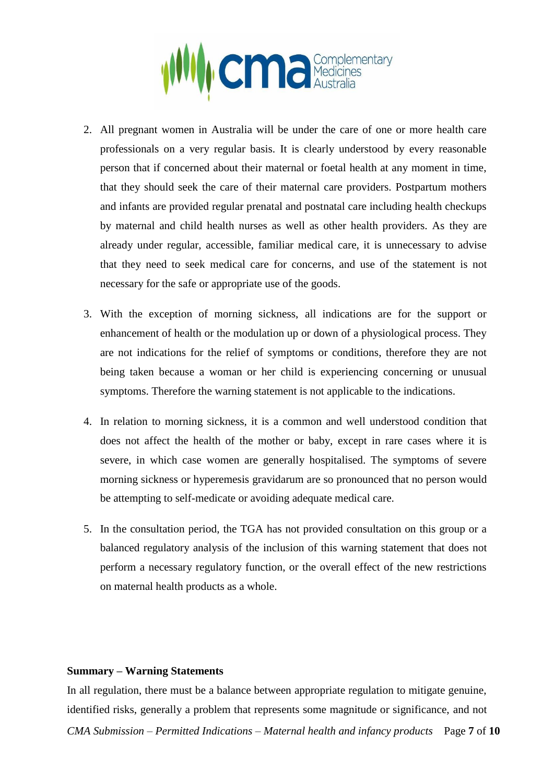

- 2. All pregnant women in Australia will be under the care of one or more health care professionals on a very regular basis. It is clearly understood by every reasonable person that if concerned about their maternal or foetal health at any moment in time, that they should seek the care of their maternal care providers. Postpartum mothers and infants are provided regular prenatal and postnatal care including health checkups by maternal and child health nurses as well as other health providers. As they are already under regular, accessible, familiar medical care, it is unnecessary to advise that they need to seek medical care for concerns, and use of the statement is not necessary for the safe or appropriate use of the goods.
- 3. With the exception of morning sickness, all indications are for the support or enhancement of health or the modulation up or down of a physiological process. They are not indications for the relief of symptoms or conditions, therefore they are not being taken because a woman or her child is experiencing concerning or unusual symptoms. Therefore the warning statement is not applicable to the indications.
- 4. In relation to morning sickness, it is a common and well understood condition that does not affect the health of the mother or baby, except in rare cases where it is severe, in which case women are generally hospitalised. The symptoms of severe morning sickness or hyperemesis gravidarum are so pronounced that no person would be attempting to self-medicate or avoiding adequate medical care.
- 5. In the consultation period, the TGA has not provided consultation on this group or a balanced regulatory analysis of the inclusion of this warning statement that does not perform a necessary regulatory function, or the overall effect of the new restrictions on maternal health products as a whole.

#### **Summary – Warning Statements**

*CMA Submission – Permitted Indications – Maternal health and infancy products* Page **7** of **10** In all regulation, there must be a balance between appropriate regulation to mitigate genuine, identified risks, generally a problem that represents some magnitude or significance, and not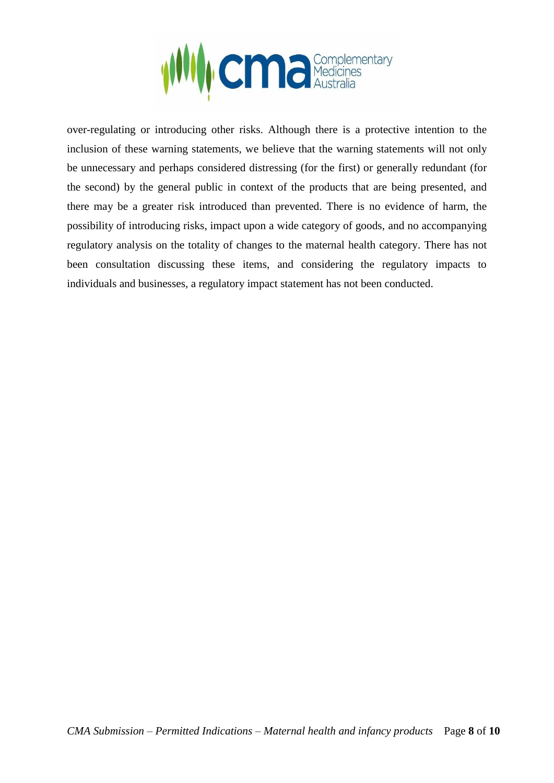

over-regulating or introducing other risks. Although there is a protective intention to the inclusion of these warning statements, we believe that the warning statements will not only be unnecessary and perhaps considered distressing (for the first) or generally redundant (for the second) by the general public in context of the products that are being presented, and there may be a greater risk introduced than prevented. There is no evidence of harm, the possibility of introducing risks, impact upon a wide category of goods, and no accompanying regulatory analysis on the totality of changes to the maternal health category. There has not been consultation discussing these items, and considering the regulatory impacts to individuals and businesses, a regulatory impact statement has not been conducted.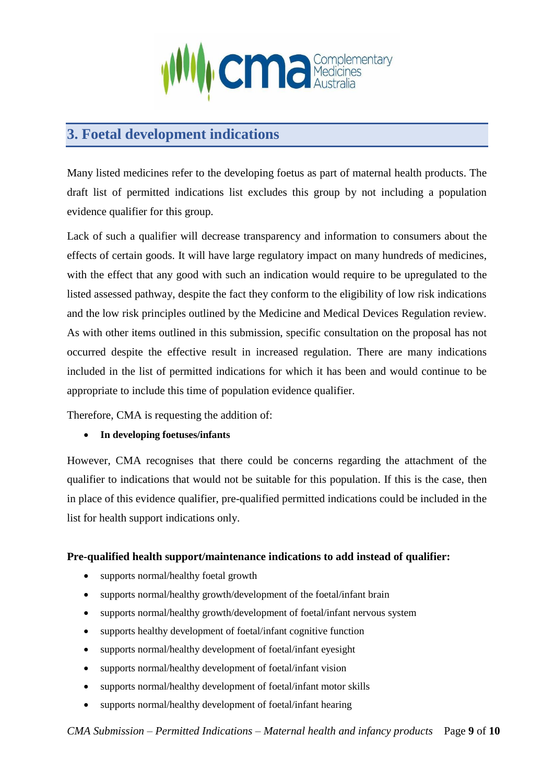

### **3. Foetal development indications**

Many listed medicines refer to the developing foetus as part of maternal health products. The draft list of permitted indications list excludes this group by not including a population evidence qualifier for this group.

Lack of such a qualifier will decrease transparency and information to consumers about the effects of certain goods. It will have large regulatory impact on many hundreds of medicines, with the effect that any good with such an indication would require to be upregulated to the listed assessed pathway, despite the fact they conform to the eligibility of low risk indications and the low risk principles outlined by the Medicine and Medical Devices Regulation review. As with other items outlined in this submission, specific consultation on the proposal has not occurred despite the effective result in increased regulation. There are many indications included in the list of permitted indications for which it has been and would continue to be appropriate to include this time of population evidence qualifier.

Therefore, CMA is requesting the addition of:

#### • **In developing foetuses/infants**

However, CMA recognises that there could be concerns regarding the attachment of the qualifier to indications that would not be suitable for this population. If this is the case, then in place of this evidence qualifier, pre-qualified permitted indications could be included in the list for health support indications only.

#### **Pre-qualified health support/maintenance indications to add instead of qualifier:**

- supports normal/healthy foetal growth
- supports normal/healthy growth/development of the foetal/infant brain
- supports normal/healthy growth/development of foetal/infant nervous system
- supports healthy development of foetal/infant cognitive function
- supports normal/healthy development of foetal/infant eyesight
- supports normal/healthy development of foetal/infant vision
- supports normal/healthy development of foetal/infant motor skills
- supports normal/healthy development of foetal/infant hearing